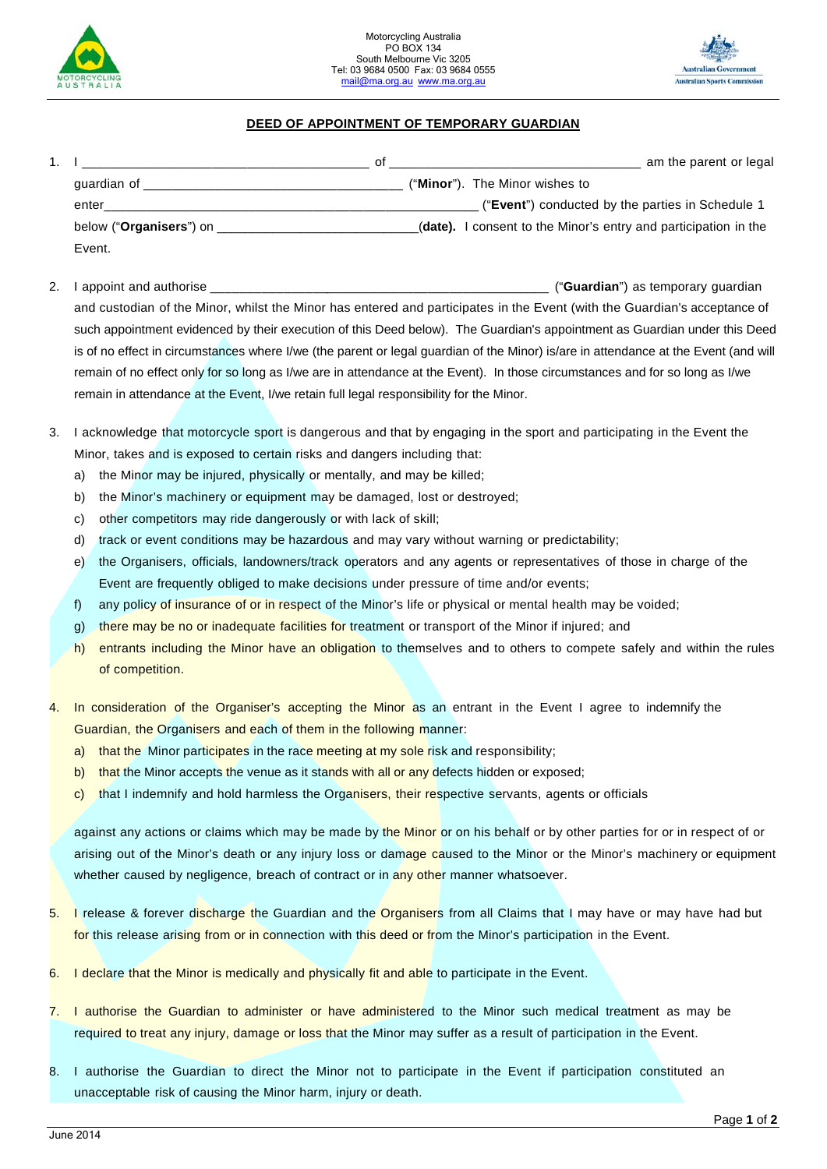



## **DEED OF APPOINTMENT OF TEMPORARY GUARDIAN**

|                                  | Ωt | am the parent or legal                                          |
|----------------------------------|----|-----------------------------------------------------------------|
| quardian of                      |    | ("Minor"). The Minor wishes to                                  |
| enter                            |    | ("Event") conducted by the parties in Schedule 1                |
| below (" <b>Organisers</b> ") on |    | (date). I consent to the Minor's entry and participation in the |
| Event.                           |    |                                                                 |

- 2. I appoint and authorise **Later and authorise** and the set of the set of the set of the set of the set of the set of the set of the set of the set of the set of the set of the set of the set of the set of the set of the and custodian of the Minor, whilst the Minor has entered and participates in the Event (with the Guardian's acceptance of such appointment evidenced by their execution of this Deed below). The Guardian's appointment as Guardian under this Deed is of no effect in circumstances where I/we (the parent or legal guardian of the Minor) is/are in attendance at the Event (and will remain of no effect only for so long as I/we are in attendance at the Event). In those circumstances and for so long as I/we remain in attendance at the Event, I/we retain full legal responsibility for the Minor.
- 3. I acknowledge that motorcycle sport is dangerous and that by engaging in the sport and participating in the Event the Minor, takes and is exposed to certain risks and dangers including that:
	- a) the Minor may be injured, physically or mentally, and may be killed;
	- b) the Minor's machinery or equipment may be damaged, lost or destroyed;
	- c) other competitors may ride dangerously or with lack of skill;
	- d) track or event conditions may be hazardous and may vary without warning or predictability;
	- e) the Organisers, officials, landowners/track operators and any agents or representatives of those in charge of the Event are frequently obliged to make decisions under pressure of time and/or events;
	- f) any policy of insurance of or in respect of the Minor's life or physical or mental health may be voided;
	- g) there may be no or inadequate facilities for treatment or transport of the Minor if injured; and
	- h) entrants including the Minor have an obligation to themselves and to others to compete safely and within the rules of competition.
- 4. In consideration of the Organiser's accepting the Minor as an entrant in the Event I agree to indemnify the Guardian, the Organisers and each of them in the following manner:
	- a) that the Minor participates in the race meeting at my sole risk and responsibility;
	- b) that the Minor accepts the venue as it stands with all or any defects hidden or exposed;
	- c) that I indemnify and hold harmless the Organisers, their respective servants, agents or officials

against any actions or claims which may be made by the Minor or on his behalf or by other parties for or in respect of or arising out of the Minor's death or any injury loss or damage caused to the Minor or the Minor's machinery or equipment whether caused by negligence, breach of contract or in any other manner whatsoever.

- 5. I release & forever discharge the Guardian and the Organisers from all Claims that I may have or may have had but for this release arising from or in connection with this deed or from the Minor's participation in the Event.
- 6. I declare that the Minor is medically and physically fit and able to participate in the Event.
- 7. I authorise the Guardian to administer or have administered to the Minor such medical treatment as may be required to treat any injury, damage or loss that the Minor may suffer as a result of participation in the Event.
- 8. I authorise the Guardian to direct the Minor not to participate in the Event if participation constituted an unacceptable risk of causing the Minor harm, injury or death.